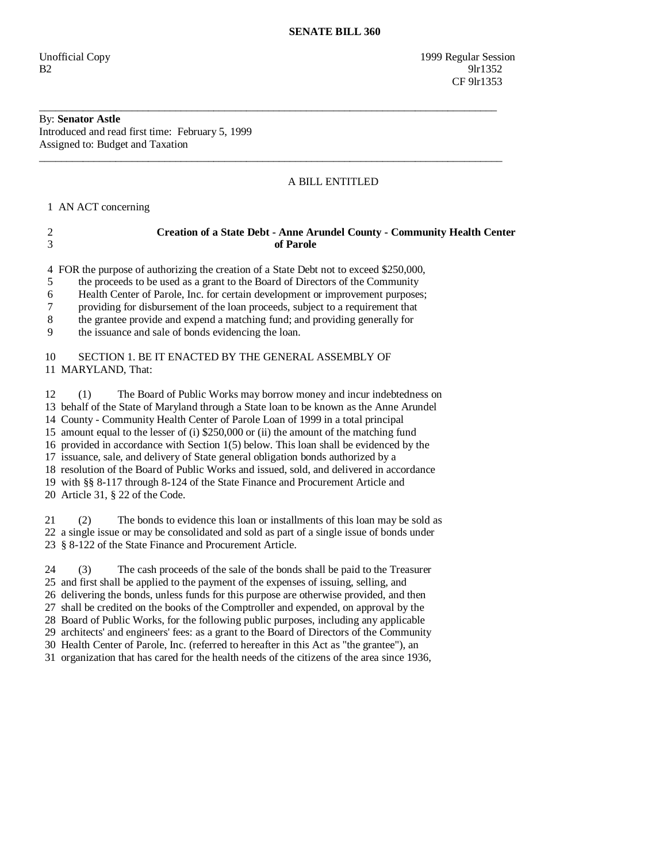Unofficial Copy 1999 Regular Session  $B2$  9lr1352 CF 9lr1353

# By: **Senator Astle**

Introduced and read first time: February 5, 1999 Assigned to: Budget and Taxation

### A BILL ENTITLED

1 AN ACT concerning

## 2 **Creation of a State Debt - Anne Arundel County - Community Health Center**  3 **of Parole**

4 FOR the purpose of authorizing the creation of a State Debt not to exceed \$250,000,

\_\_\_\_\_\_\_\_\_\_\_\_\_\_\_\_\_\_\_\_\_\_\_\_\_\_\_\_\_\_\_\_\_\_\_\_\_\_\_\_\_\_\_\_\_\_\_\_\_\_\_\_\_\_\_\_\_\_\_\_\_\_\_\_\_\_\_\_\_\_\_\_\_\_\_\_\_\_\_\_\_\_\_\_

\_\_\_\_\_\_\_\_\_\_\_\_\_\_\_\_\_\_\_\_\_\_\_\_\_\_\_\_\_\_\_\_\_\_\_\_\_\_\_\_\_\_\_\_\_\_\_\_\_\_\_\_\_\_\_\_\_\_\_\_\_\_\_\_\_\_\_\_\_\_\_\_\_\_\_\_\_\_\_\_\_\_\_\_\_

5 the proceeds to be used as a grant to the Board of Directors of the Community

6 Health Center of Parole, Inc. for certain development or improvement purposes;

7 providing for disbursement of the loan proceeds, subject to a requirement that

8 the grantee provide and expend a matching fund; and providing generally for

9 the issuance and sale of bonds evidencing the loan.

#### 10 SECTION 1. BE IT ENACTED BY THE GENERAL ASSEMBLY OF 11 MARYLAND, That:

 12 (1) The Board of Public Works may borrow money and incur indebtedness on 13 behalf of the State of Maryland through a State loan to be known as the Anne Arundel 14 County - Community Health Center of Parole Loan of 1999 in a total principal 15 amount equal to the lesser of (i) \$250,000 or (ii) the amount of the matching fund 16 provided in accordance with Section 1(5) below. This loan shall be evidenced by the 17 issuance, sale, and delivery of State general obligation bonds authorized by a 18 resolution of the Board of Public Works and issued, sold, and delivered in accordance 19 with §§ 8-117 through 8-124 of the State Finance and Procurement Article and 20 Article 31, § 22 of the Code.

 21 (2) The bonds to evidence this loan or installments of this loan may be sold as 22 a single issue or may be consolidated and sold as part of a single issue of bonds under 23 § 8-122 of the State Finance and Procurement Article.

 24 (3) The cash proceeds of the sale of the bonds shall be paid to the Treasurer 25 and first shall be applied to the payment of the expenses of issuing, selling, and 26 delivering the bonds, unless funds for this purpose are otherwise provided, and then 27 shall be credited on the books of the Comptroller and expended, on approval by the 28 Board of Public Works, for the following public purposes, including any applicable 29 architects' and engineers' fees: as a grant to the Board of Directors of the Community 30 Health Center of Parole, Inc. (referred to hereafter in this Act as "the grantee"), an 31 organization that has cared for the health needs of the citizens of the area since 1936,